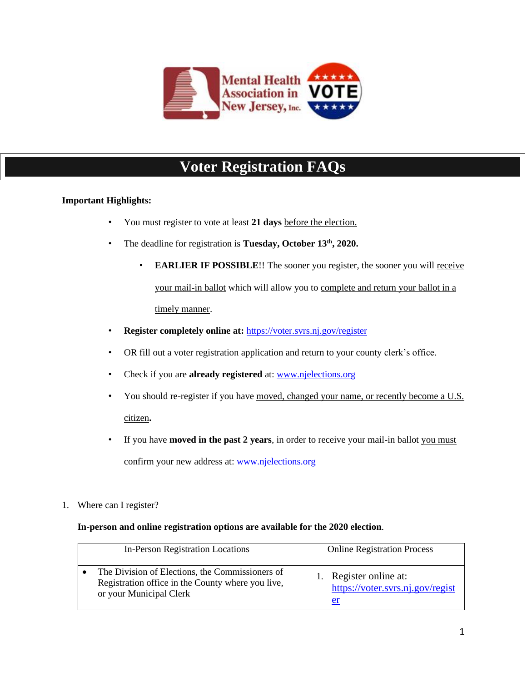

# **Voter Registration FAQs**

### **Important Highlights:**

- You must register to vote at least **21 days** before the election.
- The deadline for registration is **Tuesday, October 13th, 2020.**
	- **EARLIER IF POSSIBLE!!** The sooner you register, the sooner you will receive your mail-in ballot which will allow you to complete and return your ballot in a timely manner.
- **Register completely online at:** <https://voter.svrs.nj.gov/register>
- OR fill out a voter registration application and return to your county clerk's office.
- Check if you are **already registered** at: [www.njelections.org](http://www.njelections.org/)
- You should re-register if you have moved, changed your name, or recently become a U.S. citizen**.**
- If you have **moved in the past 2 years**, in order to receive your mail-in ballot you must confirm your new address at: [www.njelections.org](http://www.njelections.org/)
- 1. Where can I register?

#### **In-person and online registration options are available for the 2020 election**.

| <b>In-Person Registration Locations</b>                                                                                         | <b>Online Registration Process</b>                            |
|---------------------------------------------------------------------------------------------------------------------------------|---------------------------------------------------------------|
| The Division of Elections, the Commissioners of<br>Registration office in the County where you live,<br>or your Municipal Clerk | Register online at:<br>https://voter.svrs.nj.gov/regist<br>er |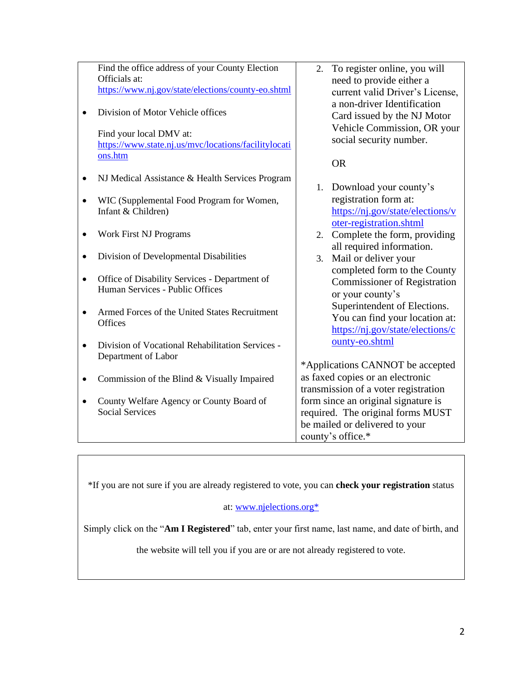|           | Find the office address of your County Election<br>Officials at:                | 2. | To register online, you will<br>need to provide either a   |
|-----------|---------------------------------------------------------------------------------|----|------------------------------------------------------------|
|           | https://www.nj.gov/state/elections/county-eo.shtml                              |    | current valid Driver's License,                            |
|           | Division of Motor Vehicle offices                                               |    | a non-driver Identification<br>Card issued by the NJ Motor |
|           | Find your local DMV at:<br>https://www.state.nj.us/mvc/locations/facilitylocati |    | Vehicle Commission, OR your<br>social security number.     |
|           | ons.htm                                                                         |    | <b>OR</b>                                                  |
|           | NJ Medical Assistance & Health Services Program                                 |    | 1. Download your county's                                  |
|           | WIC (Supplemental Food Program for Women,                                       |    | registration form at:                                      |
|           | Infant & Children)                                                              |    | https://nj.gov/state/elections/v                           |
|           |                                                                                 |    | oter-registration.shtml                                    |
|           | <b>Work First NJ Programs</b>                                                   |    | 2. Complete the form, providing                            |
|           |                                                                                 |    | all required information.                                  |
| ٠         | Division of Developmental Disabilities                                          |    | 3. Mail or deliver your                                    |
|           |                                                                                 |    | completed form to the County                               |
| $\bullet$ | Office of Disability Services - Department of                                   |    | <b>Commissioner of Registration</b>                        |
|           | Human Services - Public Offices                                                 |    | or your county's                                           |
|           |                                                                                 |    | Superintendent of Elections.                               |
|           | Armed Forces of the United States Recruitment<br><b>Offices</b>                 |    | You can find your location at:                             |
|           |                                                                                 |    | https://nj.gov/state/elections/c                           |
|           | Division of Vocational Rehabilitation Services -                                |    | ounty-eo.shtml                                             |
|           | Department of Labor                                                             |    |                                                            |
|           |                                                                                 |    | *Applications CANNOT be accepted                           |
|           | Commission of the Blind & Visually Impaired                                     |    | as faxed copies or an electronic                           |
|           |                                                                                 |    | transmission of a voter registration                       |
|           | County Welfare Agency or County Board of                                        |    | form since an original signature is                        |
|           | <b>Social Services</b>                                                          |    | required. The original forms MUST                          |
|           |                                                                                 |    | be mailed or delivered to your                             |
|           |                                                                                 |    | county's office.*                                          |

\*If you are not sure if you are already registered to vote, you can **check your registration** status

## at: [www.njelections.org\\*](http://www.njelections.org*/)

Simply click on the "**Am I Registered**" tab, enter your first name, last name, and date of birth, and

the website will tell you if you are or are not already registered to vote.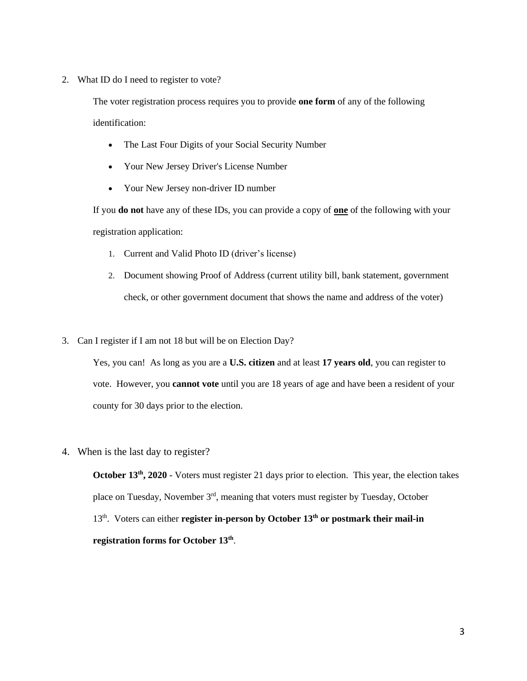2. What ID do I need to register to vote?

The voter registration process requires you to provide **one form** of any of the following identification:

- The Last Four Digits of your Social Security Number
- Your New Jersey Driver's License Number
- Your New Jersey non-driver ID number

If you **do not** have any of these IDs, you can provide a copy of **one** of the following with your registration application:

- 1. Current and Valid Photo ID (driver's license)
- 2. Document showing Proof of Address (current utility bill, bank statement, government check, or other government document that shows the name and address of the voter)
- 3. Can I register if I am not 18 but will be on Election Day?

Yes, you can! As long as you are a **U.S. citizen** and at least **17 years old**, you can register to vote. However, you **cannot vote** until you are 18 years of age and have been a resident of your county for 30 days prior to the election.

4. When is the last day to register?

**October 13<sup>th</sup>**, 2020 - Voters must register 21 days prior to election. This year, the election takes place on Tuesday, November 3<sup>rd</sup>, meaning that voters must register by Tuesday, October 13th. Voters can either **register in-person by October 13th or postmark their mail-in registration forms for October 13th** .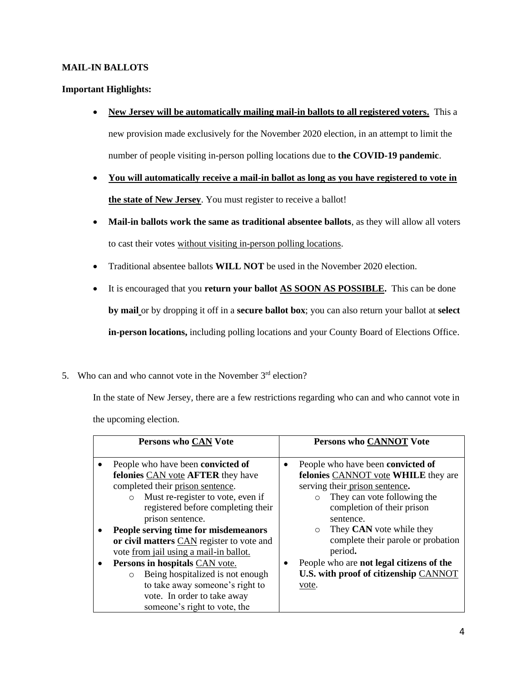#### **MAIL-IN BALLOTS**

#### **Important Highlights:**

- **New Jersey will be automatically mailing mail-in ballots to all registered voters.** This a new provision made exclusively for the November 2020 election, in an attempt to limit the number of people visiting in-person polling locations due to **the COVID-19 pandemic**.
- **You will automatically receive a mail-in ballot as long as you have registered to vote in the state of New Jersey**. You must register to receive a ballot!
- **Mail-in ballots work the same as traditional absentee ballots**, as they will allow all voters to cast their votes without visiting in-person polling locations.
- Traditional absentee ballots **WILL NOT** be used in the November 2020 election.
- It is encouraged that you **return your ballot AS SOON AS POSSIBLE.** This can be done **by mail** or by dropping it off in a **secure ballot box**; you can also return your ballot at **select in-person locations,** including polling locations and your County Board of Elections Office.
- 5. Who can and who cannot vote in the November  $3<sup>rd</sup>$  election?

In the state of New Jersey, there are a few restrictions regarding who can and who cannot vote in the upcoming election.

| <b>Persons who CAN Vote</b>                                                                                                                                                                                                                                                    | <b>Persons who CANNOT Vote</b>                                                                                                                                                            |
|--------------------------------------------------------------------------------------------------------------------------------------------------------------------------------------------------------------------------------------------------------------------------------|-------------------------------------------------------------------------------------------------------------------------------------------------------------------------------------------|
| People who have been convicted of<br>felonies CAN vote <b>AFTER</b> they have<br>completed their prison sentence.<br>Must re-register to vote, even if<br>$\circ$<br>registered before completing their<br>prison sentence.                                                    | People who have been convicted of<br>felonies CANNOT vote WHILE they are<br>serving their prison sentence.<br>They can vote following the<br>completion of their prison<br>sentence.      |
| People serving time for misdemeanors<br>or civil matters CAN register to vote and<br>vote from jail using a mail-in ballot.<br>Persons in hospitals CAN vote.<br>Being hospitalized is not enough<br>$\circ$<br>to take away someone's right to<br>vote. In order to take away | They <b>CAN</b> vote while they<br>$\circ$<br>complete their parole or probation<br>period.<br>People who are not legal citizens of the<br>U.S. with proof of citizenship CANNOT<br>vote. |
| someone's right to vote, the                                                                                                                                                                                                                                                   |                                                                                                                                                                                           |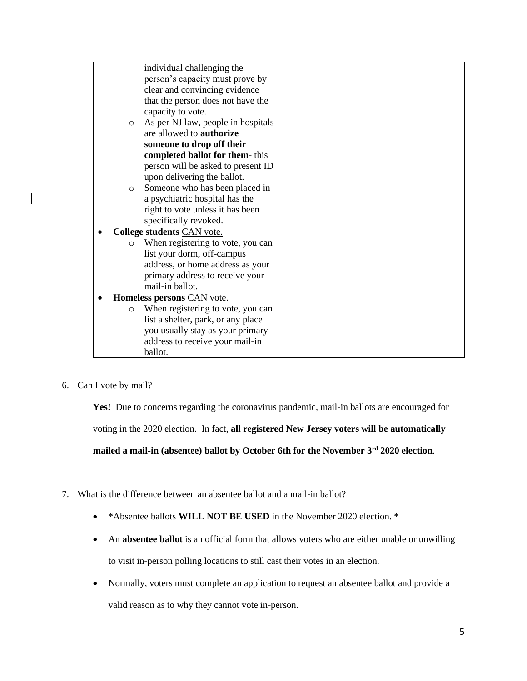|         | individual challenging the         |  |
|---------|------------------------------------|--|
|         | person's capacity must prove by    |  |
|         | clear and convincing evidence      |  |
|         | that the person does not have the  |  |
|         | capacity to vote.                  |  |
| $\circ$ | As per NJ law, people in hospitals |  |
|         | are allowed to <b>authorize</b>    |  |
|         | someone to drop off their          |  |
|         | completed ballot for them-this     |  |
|         | person will be asked to present ID |  |
|         | upon delivering the ballot.        |  |
| $\circ$ | Someone who has been placed in     |  |
|         | a psychiatric hospital has the     |  |
|         |                                    |  |
|         | right to vote unless it has been   |  |
|         | specifically revoked.              |  |
|         | College students CAN vote.         |  |
| $\circ$ | When registering to vote, you can  |  |
|         | list your dorm, off-campus         |  |
|         | address, or home address as your   |  |
|         | primary address to receive your    |  |
|         | mail-in ballot.                    |  |
|         | Homeless persons CAN vote.         |  |
| $\circ$ | When registering to vote, you can  |  |
|         | list a shelter, park, or any place |  |
|         | you usually stay as your primary   |  |
|         | address to receive your mail-in    |  |
|         | ballot.                            |  |
|         |                                    |  |

6. Can I vote by mail?

Yes! Due to concerns regarding the coronavirus pandemic, mail-in ballots are encouraged for voting in the 2020 election. In fact, **all registered New Jersey voters will be automatically mailed a mail-in (absentee) ballot by October 6th for the November 3rd 2020 election**.

- 7. What is the difference between an absentee ballot and a mail-in ballot?
	- \*Absentee ballots **WILL NOT BE USED** in the November 2020 election. \*
	- An **absentee ballot** is an official form that allows voters who are either unable or unwilling to visit in-person polling locations to still cast their votes in an election.
	- Normally, voters must complete an application to request an absentee ballot and provide a valid reason as to why they cannot vote in-person.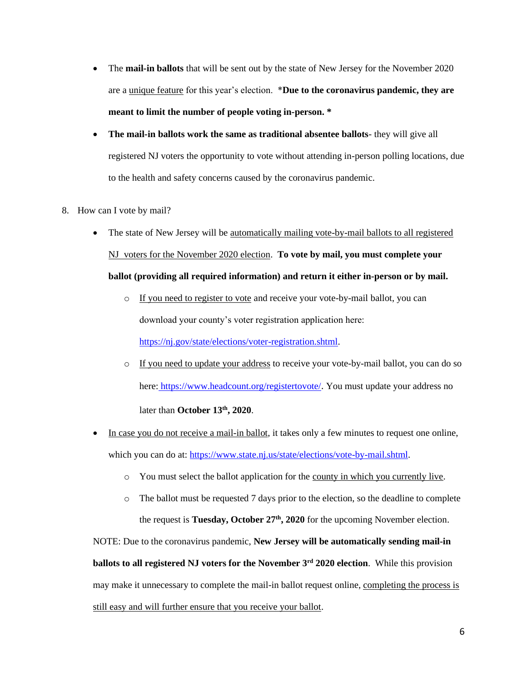- The **mail-in ballots** that will be sent out by the state of New Jersey for the November 2020 are a unique feature for this year's election. \***Due to the coronavirus pandemic, they are meant to limit the number of people voting in-person. \***
- **The mail-in ballots work the same as traditional absentee ballots** they will give all registered NJ voters the opportunity to vote without attending in-person polling locations, due to the health and safety concerns caused by the coronavirus pandemic.
- 8. How can I vote by mail?
	- The state of New Jersey will be automatically mailing vote-by-mail ballots to all registered NJ voters for the November 2020 election. **To vote by mail, you must complete your ballot (providing all required information) and return it either in-person or by mail.**
		- o If you need to register to vote and receive your vote-by-mail ballot, you can download your county's voter registration application here: [https://nj.gov/state/elections/voter-registration.shtml.](https://nj.gov/state/elections/voter-registration.shtml)
		- o If you need to update your address to receive your vote-by-mail ballot, you can do so here: <https://www.headcount.org/registertovote/>. You must update your address no later than **October 13th, 2020**.
	- In case you do not receive a mail-in ballot, it takes only a few minutes to request one online, which you can do at: [https://www.state.nj.us/state/elections/vote-by-mail.shtml.](https://www.state.nj.us/state/elections/vote-by-mail.shtml)
		- o You must select the ballot application for the county in which you currently live.
		- $\circ$  The ballot must be requested 7 days prior to the election, so the deadline to complete the request is **Tuesday, October 27th, 2020** for the upcoming November election.

NOTE: Due to the coronavirus pandemic, **New Jersey will be automatically sending mail-in ballots to all registered NJ voters for the November 3rd 2020 election**. While this provision may make it unnecessary to complete the mail-in ballot request online, completing the process is still easy and will further ensure that you receive your ballot.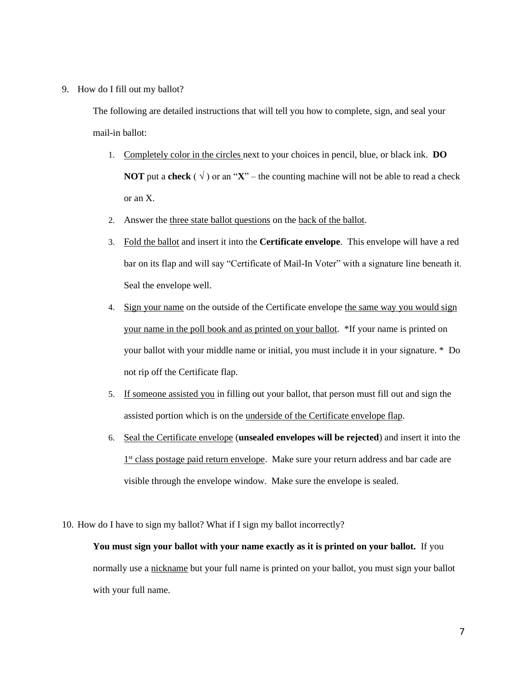9. How do I fill out my ballot?

The following are detailed instructions that will tell you how to complete, sign, and seal your mail-in ballot:

- 1. Completely color in the circles next to your choices in pencil, blue, or black ink. **DO NOT** put a **check** ( $\sqrt{ }$ ) or an "**X**" – the counting machine will not be able to read a check or an X.
- 2. Answer the three state ballot questions on the back of the ballot.
- 3. Fold the ballot and insert it into the **Certificate envelope**. This envelope will have a red bar on its flap and will say "Certificate of Mail-In Voter" with a signature line beneath it. Seal the envelope well.
- 4. Sign your name on the outside of the Certificate envelope the same way you would sign your name in the poll book and as printed on your ballot. \*If your name is printed on your ballot with your middle name or initial, you must include it in your signature. \* Do not rip off the Certificate flap.
- 5. If someone assisted you in filling out your ballot, that person must fill out and sign the assisted portion which is on the underside of the Certificate envelope flap.
- 6. Seal the Certificate envelope (**unsealed envelopes will be rejected**) and insert it into the 1<sup>st</sup> class postage paid return envelope. Make sure your return address and bar cade are visible through the envelope window. Make sure the envelope is sealed.
- 10. How do I have to sign my ballot? What if I sign my ballot incorrectly?

**You must sign your ballot with your name exactly as it is printed on your ballot.** If you normally use a nickname but your full name is printed on your ballot, you must sign your ballot with your full name.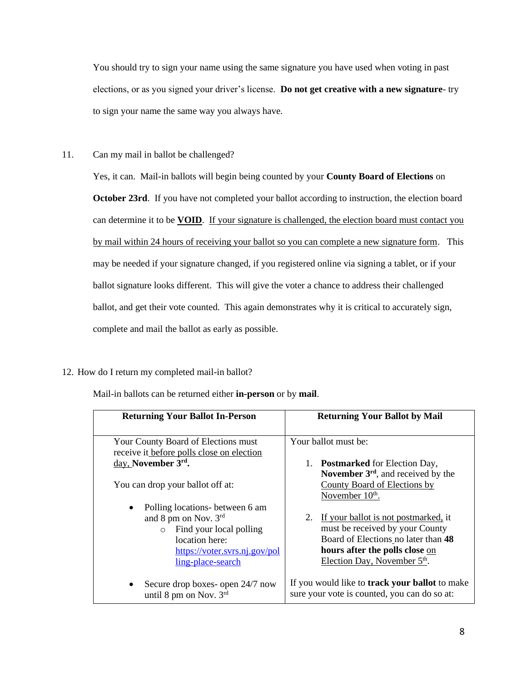You should try to sign your name using the same signature you have used when voting in past elections, or as you signed your driver's license. **Do not get creative with a new signature**- try to sign your name the same way you always have.

11. Can my mail in ballot be challenged?

Yes, it can. Mail-in ballots will begin being counted by your **County Board of Elections** on **October 23rd**. If you have not completed your ballot according to instruction, the election board can determine it to be **VOID**. If your signature is challenged, the election board must contact you by mail within 24 hours of receiving your ballot so you can complete a new signature form. This may be needed if your signature changed, if you registered online via signing a tablet, or if your ballot signature looks different. This will give the voter a chance to address their challenged ballot, and get their vote counted. This again demonstrates why it is critical to accurately sign, complete and mail the ballot as early as possible.

12. How do I return my completed mail-in ballot?

Mail-in ballots can be returned either **in-person** or by **mail**.

| <b>Returning Your Ballot In-Person</b>                                                                                                                                          | <b>Returning Your Ballot by Mail</b>                                                                                                                                                               |
|---------------------------------------------------------------------------------------------------------------------------------------------------------------------------------|----------------------------------------------------------------------------------------------------------------------------------------------------------------------------------------------------|
| Your County Board of Elections must<br>receive it before polls close on election                                                                                                | Your ballot must be:                                                                                                                                                                               |
| day, November 3rd.<br>You can drop your ballot off at:                                                                                                                          | <b>Postmarked</b> for Election Day,<br>1.<br>November $3rd$ , and received by the<br>County Board of Elections by<br>November 10 <sup>th</sup> .                                                   |
| Polling locations- between 6 am<br>$\bullet$<br>and 8 pm on Nov. 3rd<br>$\circ$ Find your local polling<br>location here:<br>https://voter.svrs.nj.gov/pol<br>ling-place-search | If your ballot is not postmarked, it<br>2.<br>must be received by your County<br>Board of Elections no later than 48<br>hours after the polls close on<br>Election Day, November 5 <sup>th</sup> . |
| Secure drop boxes- open 24/7 now<br>$\bullet$<br>until 8 pm on Nov. $3rd$                                                                                                       | If you would like to <b>track your ballot</b> to make<br>sure your vote is counted, you can do so at:                                                                                              |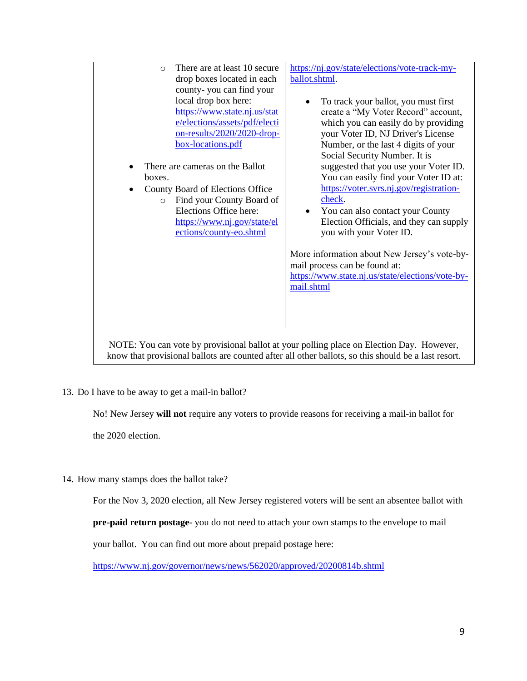| There are at least 10 secure<br>$\circ$<br>drop boxes located in each<br>county-you can find your<br>local drop box here:<br>https://www.state.nj.us/stat<br>e/elections/assets/pdf/electi<br>on-results/2020/2020-drop-<br>box-locations.pdf<br>There are cameras on the Ballot<br>boxes. | https://nj.gov/state/elections/vote-track-my-<br>ballot.shtml.<br>To track your ballot, you must first<br>$\bullet$<br>create a "My Voter Record" account,<br>which you can easily do by providing<br>your Voter ID, NJ Driver's License<br>Number, or the last 4 digits of your<br>Social Security Number. It is<br>suggested that you use your Voter ID.<br>You can easily find your Voter ID at: |
|--------------------------------------------------------------------------------------------------------------------------------------------------------------------------------------------------------------------------------------------------------------------------------------------|-----------------------------------------------------------------------------------------------------------------------------------------------------------------------------------------------------------------------------------------------------------------------------------------------------------------------------------------------------------------------------------------------------|
| County Board of Elections Office<br>Find your County Board of<br>$\circ$<br>Elections Office here:<br>https://www.nj.gov/state/el<br>ections/county-eo.shtml                                                                                                                               | https://voter.svrs.nj.gov/registration-<br>check.<br>You can also contact your County<br>Election Officials, and they can supply<br>you with your Voter ID.<br>More information about New Jersey's vote-by-<br>mail process can be found at:<br>https://www.state.nj.us/state/elections/vote-by-<br>mail.shtml                                                                                      |
| NOTE: You can vote by provisional ballot at your polling place on Election Day. However,<br>know that provisional ballots are counted after all other ballots, so this should be a last resort.                                                                                            |                                                                                                                                                                                                                                                                                                                                                                                                     |

13. Do I have to be away to get a mail-in ballot?

No! New Jersey **will not** require any voters to provide reasons for receiving a mail-in ballot for

the 2020 election.

14. How many stamps does the ballot take?

For the Nov 3, 2020 election, all New Jersey registered voters will be sent an absentee ballot with

**pre-paid return postage**- you do not need to attach your own stamps to the envelope to mail

your ballot. You can find out more about prepaid postage here:

<https://www.nj.gov/governor/news/news/562020/approved/20200814b.shtml>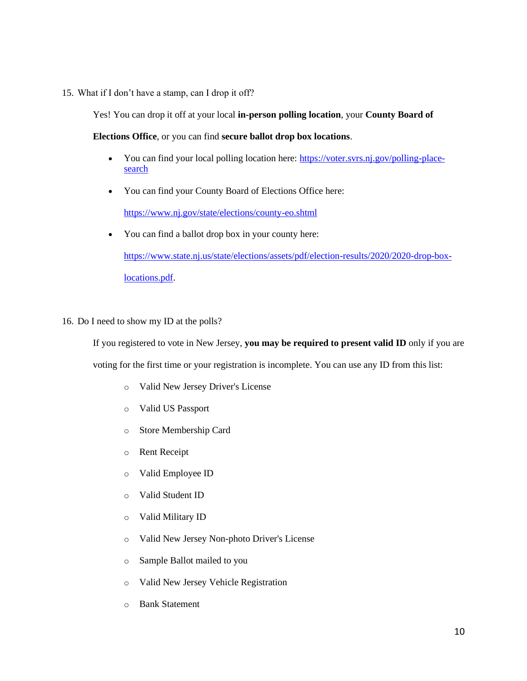15. What if I don't have a stamp, can I drop it off?

Yes! You can drop it off at your local **in-person polling location**, your **County Board of** 

**Elections Office**, or you can find **secure ballot drop box locations**.

- You can find your local polling location here: [https://voter.svrs.nj.gov/polling-place](https://voter.svrs.nj.gov/polling-place-search)[search](https://voter.svrs.nj.gov/polling-place-search)
- You can find your County Board of Elections Office here:

<https://www.nj.gov/state/elections/county-eo.shtml>

- You can find a ballot drop box in your county here: [https://www.state.nj.us/state/elections/assets/pdf/election-results/2020/2020-drop-box](https://www.state.nj.us/state/elections/assets/pdf/election-results/2020/2020-drop-box-locations.pdf)[locations.pdf.](https://www.state.nj.us/state/elections/assets/pdf/election-results/2020/2020-drop-box-locations.pdf)
- 16. Do I need to show my ID at the polls?

If you registered to vote in New Jersey, **you may be required to present valid ID** only if you are voting for the first time or your registration is incomplete. You can use any ID from this list:

- o Valid New Jersey Driver's License
- o Valid US Passport
- o Store Membership Card
- o Rent Receipt
- o Valid Employee ID
- o Valid Student ID
- o Valid Military ID
- o Valid New Jersey Non-photo Driver's License
- o Sample Ballot mailed to you
- o Valid New Jersey Vehicle Registration
- o Bank Statement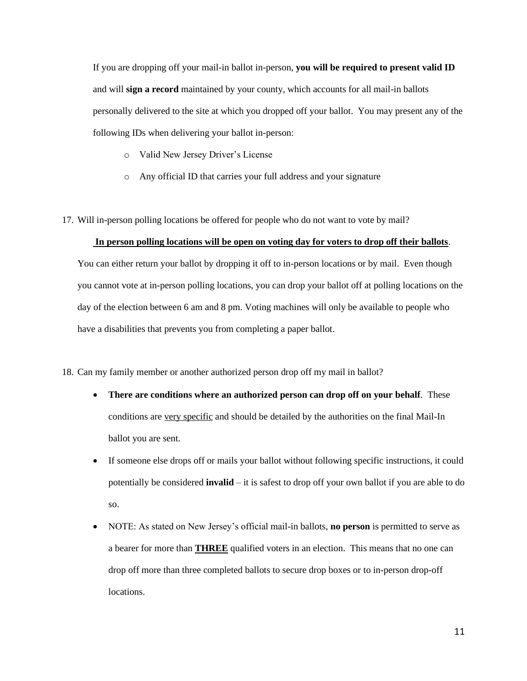If you are dropping off your mail-in ballot in-person, **you will be required to present valid ID** and will **sign a record** maintained by your county, which accounts for all mail-in ballots personally delivered to the site at which you dropped off your ballot. You may present any of the following IDs when delivering your ballot in-person:

- o Valid New Jersey Driver's License
- o Any official ID that carries your full address and your signature
- 17. Will in-person polling locations be offered for people who do not want to vote by mail?

#### **In person polling locations will be open on voting day for voters to drop off their ballots**.

You can either return your ballot by dropping it off to in-person locations or by mail. Even though you cannot vote at in-person polling locations, you can drop your ballot off at polling locations on the day of the election between 6 am and 8 pm. Voting machines will only be available to people who have a disabilities that prevents you from completing a paper ballot.

#### 18. Can my family member or another authorized person drop off my mail in ballot?

- **There are conditions where an authorized person can drop off on your behalf**. These conditions are very specific and should be detailed by the authorities on the final Mail-In ballot you are sent.
- If someone else drops off or mails your ballot without following specific instructions, it could potentially be considered **invalid** – it is safest to drop off your own ballot if you are able to do so.
- NOTE: As stated on New Jersey's official mail-in ballots, **no person** is permitted to serve as a bearer for more than **THREE** qualified voters in an election. This means that no one can drop off more than three completed ballots to secure drop boxes or to in-person drop-off locations.